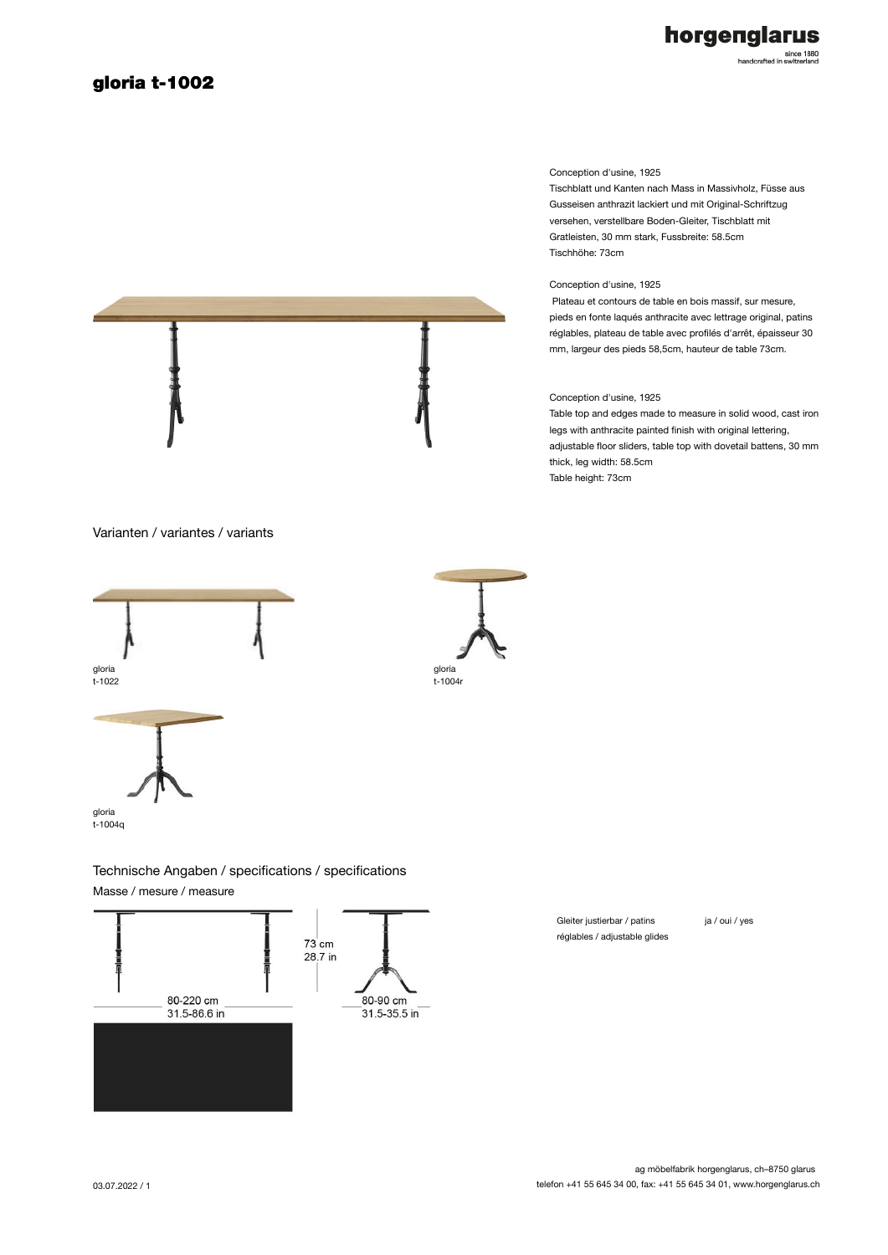## gloria t-1002



since 1880<br>handcrafted in switzerland

#### Conception d'usine, 1925

Tischblatt und Kanten nach Mass in Massivholz, Füsse aus Gusseisen anthrazit lackiert und mit Original-Schriftzug versehen, verstellbare Boden-Gleiter, Tischblatt mit Gratleisten, 30 mm stark, Fussbreite: 58.5cm Tischhöhe: 73cm

### Conception d'usine, 1925

 Plateau et contours de table en bois massif, sur mesure, pieds en fonte laqués anthracite avec lettrage original, patins réglables, plateau de table avec profilés d'arrêt, épaisseur 30 mm, largeur des pieds 58,5cm, hauteur de table 73cm.

### Conception d'usine, 1925

Table top and edges made to measure in solid wood, cast iron legs with anthracite painted finish with original lettering, adjustable floor sliders, table top with dovetail battens, 30 mm thick, leg width: 58.5cm Table height: 73cm

Varianten / variantes / variants







t-1004q

# Technische Angaben / specifications / specifications

Masse / mesure / measure



Gleiter justierbar / patins réglables / adjustable glides ja / oui / yes